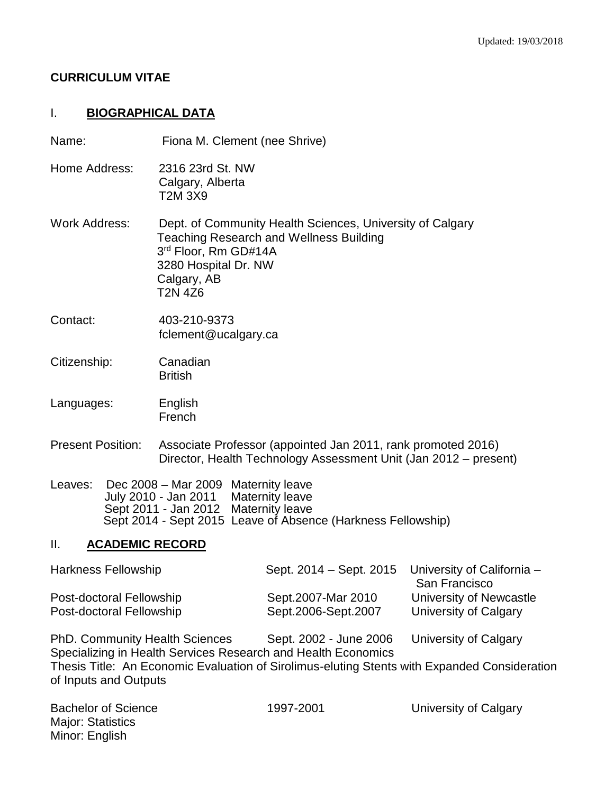#### **CURRICULUM VITAE**

#### I. **BIOGRAPHICAL DATA**

Name: Fiona M. Clement (nee Shrive)

- Home Address: 2316 23rd St. NW Calgary, Alberta T2M 3X9
- Work Address: Dept. of Community Health Sciences, University of Calgary Teaching Research and Wellness Building 3 rd Floor, Rm GD#14A 3280 Hospital Dr. NW Calgary, AB T2N 4Z6
- Contact: 403-210-9373 fclement@ucalgary.ca
- Citizenship: Canadian **British**
- Languages: English French
- Present Position: Associate Professor (appointed Jan 2011, rank promoted 2016) Director, Health Technology Assessment Unit (Jan 2012 – present)
- Leaves: Dec 2008 Mar 2009 Maternity leave July 2010 - Jan 2011 Maternity leave Sept 2011 - Jan 2012 Maternity leave Sept 2014 - Sept 2015 Leave of Absence (Harkness Fellowship)

#### II. **ACADEMIC RECORD**

| Harkness Fellowship      | Sept. 2014 – Sept. 2015 | University of California - |
|--------------------------|-------------------------|----------------------------|
|                          |                         | San Francisco              |
| Post-doctoral Fellowship | Sept.2007-Mar 2010      | University of Newcastle    |
| Post-doctoral Fellowship | Sept.2006-Sept.2007     | University of Calgary      |

PhD. Community Health Sciences Sept. 2002 - June 2006 University of Calgary Specializing in Health Services Research and Health Economics Thesis Title: An Economic Evaluation of Sirolimus-eluting Stents with Expanded Consideration of Inputs and Outputs

Major: Statistics Minor: English

Bachelor of Science 1997-2001 University of Calgary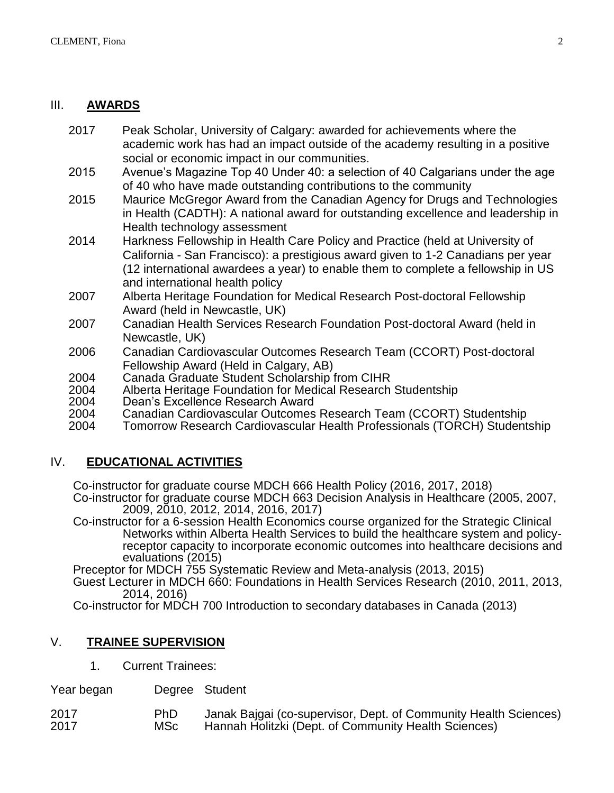#### III. **AWARDS**

- 2017 Peak Scholar, University of Calgary: awarded for achievements where the academic work has had an impact outside of the academy resulting in a positive social or economic impact in our communities.
- 2015 Avenue's Magazine Top 40 Under 40: a selection of 40 Calgarians under the age of 40 who have made outstanding contributions to the community
- 2015 Maurice McGregor Award from the Canadian Agency for Drugs and Technologies in Health (CADTH): A national award for outstanding excellence and leadership in Health technology assessment
- 2014 Harkness Fellowship in Health Care Policy and Practice (held at University of California - San Francisco): a prestigious award given to 1-2 Canadians per year (12 international awardees a year) to enable them to complete a fellowship in US and international health policy
- 2007 Alberta Heritage Foundation for Medical Research Post-doctoral Fellowship Award (held in Newcastle, UK)
- 2007 Canadian Health Services Research Foundation Post-doctoral Award (held in Newcastle, UK)
- 2006 Canadian Cardiovascular Outcomes Research Team (CCORT) Post-doctoral Fellowship Award (Held in Calgary, AB)
- 2004 Canada Graduate Student Scholarship from CIHR
- 2004 Alberta Heritage Foundation for Medical Research Studentship
- 2004 Dean's Excellence Research Award
- 2004 Canadian Cardiovascular Outcomes Research Team (CCORT) Studentship
- 2004 Tomorrow Research Cardiovascular Health Professionals (TORCH) Studentship

## IV. **EDUCATIONAL ACTIVITIES**

Co-instructor for graduate course MDCH 666 Health Policy (2016, 2017, 2018)

Co-instructor for graduate course MDCH 663 Decision Analysis in Healthcare (2005, 2007, 2009, 2010, 2012, 2014, 2016, 2017)

Co-instructor for a 6-session Health Economics course organized for the Strategic Clinical Networks within Alberta Health Services to build the healthcare system and policyreceptor capacity to incorporate economic outcomes into healthcare decisions and evaluations (2015)

Preceptor for MDCH 755 Systematic Review and Meta-analysis (2013, 2015)

Guest Lecturer in MDCH 660: Foundations in Health Services Research (2010, 2011, 2013, 2014, 2016)

Co-instructor for MDCH 700 Introduction to secondary databases in Canada (2013)

## V. **TRAINEE SUPERVISION**

1. Current Trainees:

Year began Degree Student

| 2017 | PhD   | Janak Bajgai (co-supervisor, Dept. of Community Health Sciences) |
|------|-------|------------------------------------------------------------------|
| 2017 | MSc l | Hannah Holitzki (Dept. of Community Health Sciences)             |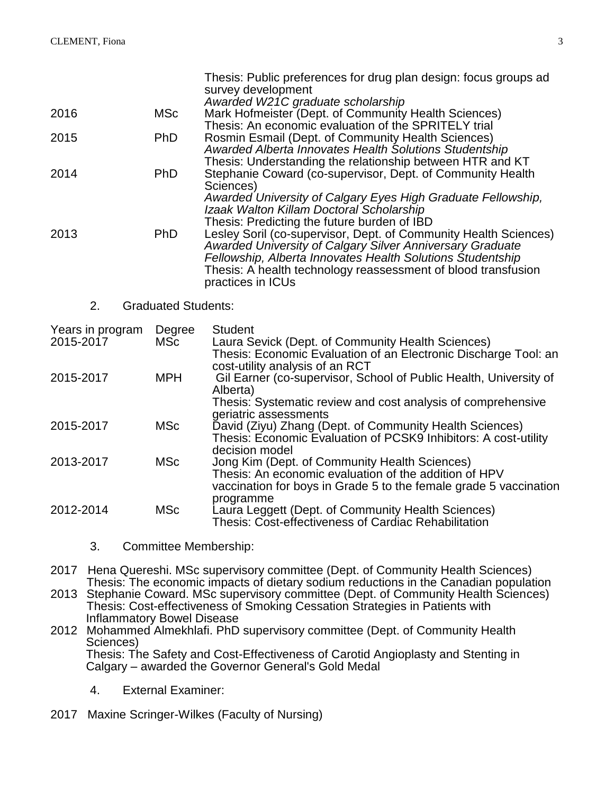| 2016<br>2015                  | <b>MSc</b><br><b>PhD</b>   | Thesis: Public preferences for drug plan design: focus groups ad<br>survey development<br>Awarded W21C graduate scholarship<br>Mark Hofmeister (Dept. of Community Health Sciences)<br>Thesis: An economic evaluation of the SPRITELY trial<br>Rosmin Esmail (Dept. of Community Health Sciences)                                                                                                                                            |
|-------------------------------|----------------------------|----------------------------------------------------------------------------------------------------------------------------------------------------------------------------------------------------------------------------------------------------------------------------------------------------------------------------------------------------------------------------------------------------------------------------------------------|
| 2014                          | PhD                        | Awarded Alberta Innovates Health Solutions Studentship<br>Thesis: Understanding the relationship between HTR and KT<br>Stephanie Coward (co-supervisor, Dept. of Community Health<br>Sciences)                                                                                                                                                                                                                                               |
| 2013                          | PhD                        | Awarded University of Calgary Eyes High Graduate Fellowship,<br>Izaak Walton Killam Doctoral Scholarship<br>Thesis: Predicting the future burden of IBD<br>Lesley Soril (co-supervisor, Dept. of Community Health Sciences)<br>Awarded University of Calgary Silver Anniversary Graduate<br>Fellowship, Alberta Innovates Health Solutions Studentship<br>Thesis: A health technology reassessment of blood transfusion<br>practices in ICUs |
| 2.                            | <b>Graduated Students:</b> |                                                                                                                                                                                                                                                                                                                                                                                                                                              |
| Years in program<br>2015-2017 | Degree<br><b>MSc</b>       | <b>Student</b><br>Laura Sevick (Dept. of Community Health Sciences)<br>Thesis: Economic Evaluation of an Electronic Discharge Tool: an                                                                                                                                                                                                                                                                                                       |
| 2015-2017                     | <b>MPH</b>                 | cost-utility analysis of an RCT<br>Gil Earner (co-supervisor, School of Public Health, University of<br>Alberta)<br>Thesis: Systematic review and cost analysis of comprehensive                                                                                                                                                                                                                                                             |
| 2015-2017                     | <b>MSc</b>                 | geriatric assessments<br>David (Ziyu) Zhang (Dept. of Community Health Sciences)<br>Thesis: Economic Evaluation of PCSK9 Inhibitors: A cost-utility                                                                                                                                                                                                                                                                                          |
| 2013-2017                     | <b>MSc</b>                 | decision model<br>Jong Kim (Dept. of Community Health Sciences)<br>Thesis: An economic evaluation of the addition of HPV<br>vaccination for boys in Grade 5 to the female grade 5 vaccination                                                                                                                                                                                                                                                |
|                               |                            |                                                                                                                                                                                                                                                                                                                                                                                                                                              |

3. Committee Membership:

2017 Hena Quereshi. MSc supervisory committee (Dept. of Community Health Sciences) Thesis: The economic impacts of dietary sodium reductions in the Canadian population

2013 Stephanie Coward. MSc supervisory committee (Dept. of Community Health Sciences) Thesis: Cost-effectiveness of Smoking Cessation Strategies in Patients with Inflammatory Bowel Disease

2012 Mohammed Almekhlafi. PhD supervisory committee (Dept. of Community Health Sciences) Thesis: The Safety and Cost-Effectiveness of Carotid Angioplasty and Stenting in Calgary – awarded the Governor General's Gold Medal

4. External Examiner:

2017 Maxine Scringer-Wilkes (Faculty of Nursing)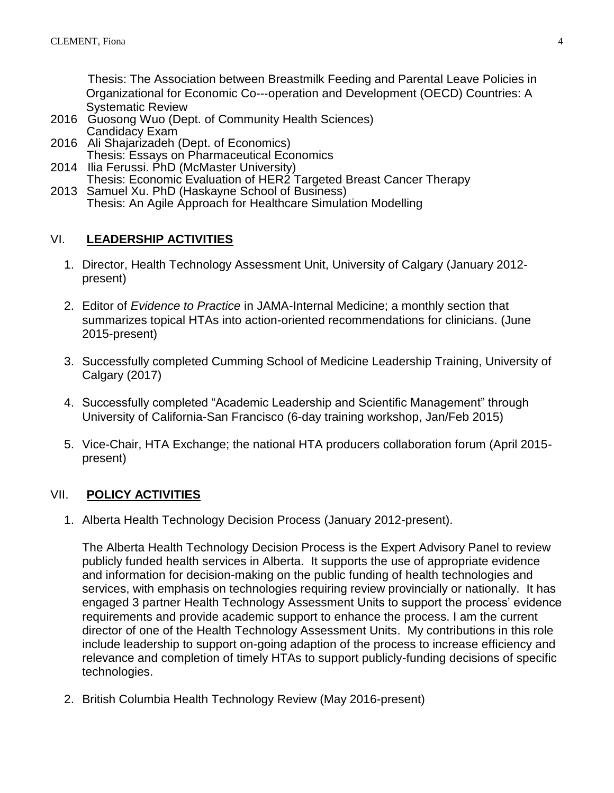Thesis: The Association between Breastmilk Feeding and Parental Leave Policies in Organizational for Economic Co--‐operation and Development (OECD) Countries: A Systematic Review

- 2016 Guosong Wuo (Dept. of Community Health Sciences) Candidacy Exam
- 2016 Ali Shajarizadeh (Dept. of Economics) Thesis: Essays on Pharmaceutical Economics
- 2014 Ilia Ferussi. PhD (McMaster University) Thesis: Economic Evaluation of HER2 Targeted Breast Cancer Therapy
- 2013 Samuel Xu. PhD (Haskayne School of Business) Thesis: An Agile Approach for Healthcare Simulation Modelling

## VI. **LEADERSHIP ACTIVITIES**

- 1. Director, Health Technology Assessment Unit, University of Calgary (January 2012 present)
- 2. Editor of *Evidence to Practice* in JAMA-Internal Medicine; a monthly section that summarizes topical HTAs into action-oriented recommendations for clinicians. (June 2015-present)
- 3. Successfully completed Cumming School of Medicine Leadership Training, University of Calgary (2017)
- 4. Successfully completed "Academic Leadership and Scientific Management" through University of California-San Francisco (6-day training workshop, Jan/Feb 2015)
- 5. Vice-Chair, HTA Exchange; the national HTA producers collaboration forum (April 2015 present)

## VII. **POLICY ACTIVITIES**

1. Alberta Health Technology Decision Process (January 2012-present).

The Alberta Health Technology Decision Process is the Expert Advisory Panel to review publicly funded health services in Alberta. It supports the use of appropriate evidence and information for decision-making on the public funding of health technologies and services, with emphasis on technologies requiring review provincially or nationally. It has engaged 3 partner Health Technology Assessment Units to support the process' evidence requirements and provide academic support to enhance the process. I am the current director of one of the Health Technology Assessment Units. My contributions in this role include leadership to support on-going adaption of the process to increase efficiency and relevance and completion of timely HTAs to support publicly-funding decisions of specific technologies.

2. British Columbia Health Technology Review (May 2016-present)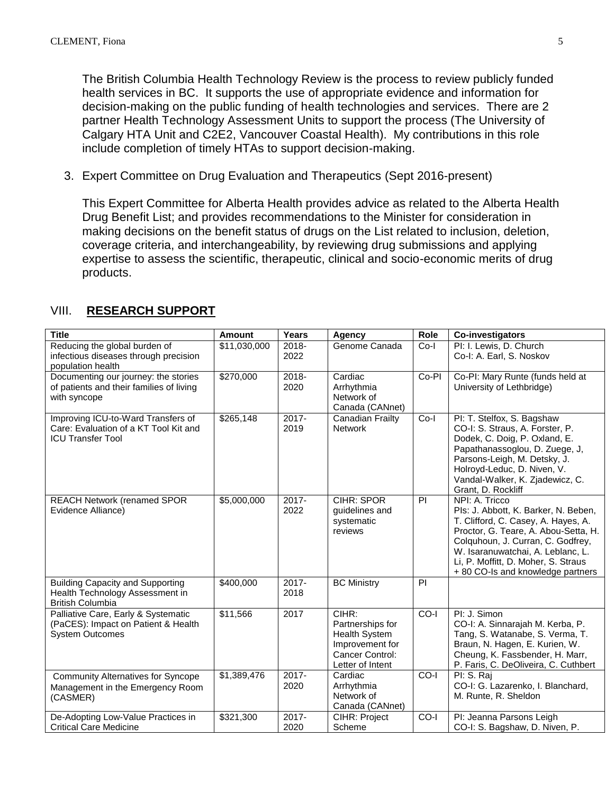The British Columbia Health Technology Review is the process to review publicly funded health services in BC. It supports the use of appropriate evidence and information for decision-making on the public funding of health technologies and services. There are 2 partner Health Technology Assessment Units to support the process (The University of Calgary HTA Unit and C2E2, Vancouver Coastal Health). My contributions in this role include completion of timely HTAs to support decision-making.

3. Expert Committee on Drug Evaluation and Therapeutics (Sept 2016-present)

This Expert Committee for Alberta Health provides advice as related to the Alberta Health Drug Benefit List; and provides recommendations to the Minister for consideration in making decisions on the benefit status of drugs on the List related to inclusion, deletion, coverage criteria, and interchangeability, by reviewing drug submissions and applying expertise to assess the scientific, therapeutic, clinical and socio-economic merits of drug products.

| <b>Title</b>                                                                                            | Amount       | Years            | <b>Agency</b>                                                                                               | <b>Role</b> | Co-investigators                                                                                                                                                                                                                                                                            |
|---------------------------------------------------------------------------------------------------------|--------------|------------------|-------------------------------------------------------------------------------------------------------------|-------------|---------------------------------------------------------------------------------------------------------------------------------------------------------------------------------------------------------------------------------------------------------------------------------------------|
| Reducing the global burden of<br>infectious diseases through precision<br>population health             | \$11,030,000 | 2018-<br>2022    | Genome Canada                                                                                               | $Co-I$      | PI: I. Lewis, D. Church<br>Co-I: A. Earl, S. Noskov                                                                                                                                                                                                                                         |
| Documenting our journey: the stories<br>of patients and their families of living<br>with syncope        | \$270,000    | 2018-<br>2020    | Cardiac<br>Arrhythmia<br>Network of<br>Canada (CANnet)                                                      | Co-PI       | Co-PI: Mary Runte (funds held at<br>University of Lethbridge)                                                                                                                                                                                                                               |
| Improving ICU-to-Ward Transfers of<br>Care: Evaluation of a KT Tool Kit and<br><b>ICU Transfer Tool</b> | \$265,148    | $2017 -$<br>2019 | <b>Canadian Frailty</b><br><b>Network</b>                                                                   | $Co-I$      | PI: T. Stelfox, S. Bagshaw<br>CO-I: S. Straus, A. Forster, P.<br>Dodek, C. Doig, P. Oxland, E.<br>Papathanassoglou, D. Zuege, J.<br>Parsons-Leigh, M. Detsky, J.<br>Holroyd-Leduc, D. Niven, V.<br>Vandal-Walker, K. Zjadewicz, C.<br>Grant, D. Rockliff                                    |
| <b>REACH Network (renamed SPOR</b><br>Evidence Alliance)                                                | \$5,000,000  | $2017 -$<br>2022 | <b>CIHR: SPOR</b><br>guidelines and<br>systematic<br>reviews                                                | PI          | NPI: A. Tricco<br>Pls: J. Abbott, K. Barker, N. Beben,<br>T. Clifford, C. Casey, A. Hayes, A.<br>Proctor, G. Teare, A. Abou-Setta, H.<br>Colquhoun, J. Curran, C. Godfrey,<br>W. Isaranuwatchai, A. Leblanc, L.<br>Li, P. Moffitt, D. Moher, S. Straus<br>+ 80 CO-Is and knowledge partners |
| <b>Building Capacity and Supporting</b><br>Health Technology Assessment in<br><b>British Columbia</b>   | \$400,000    | $2017 -$<br>2018 | <b>BC Ministry</b>                                                                                          | PI          |                                                                                                                                                                                                                                                                                             |
| Palliative Care, Early & Systematic<br>(PaCES): Impact on Patient & Health<br><b>System Outcomes</b>    | \$11,566     | 2017             | CIHR:<br>Partnerships for<br><b>Health System</b><br>Improvement for<br>Cancer Control:<br>Letter of Intent | $CO-I$      | PI: J. Simon<br>CO-I: A. Sinnarajah M. Kerba, P.<br>Tang, S. Watanabe, S. Verma, T.<br>Braun, N. Hagen, E. Kurien, W.<br>Cheung, K. Fassbender, H. Marr,<br>P. Faris, C. DeOliveira, C. Cuthbert                                                                                            |
| <b>Community Alternatives for Syncope</b><br>Management in the Emergency Room<br>(CASMER)               | \$1,389,476  | 2017-<br>2020    | Cardiac<br>Arrhythmia<br>Network of<br>Canada (CANnet)                                                      | CO-I        | PI: S. Raj<br>CO-I: G. Lazarenko, I. Blanchard,<br>M. Runte, R. Sheldon                                                                                                                                                                                                                     |
| De-Adopting Low-Value Practices in<br><b>Critical Care Medicine</b>                                     | \$321,300    | $2017 -$<br>2020 | <b>CIHR: Project</b><br>Scheme                                                                              | CO-I        | PI: Jeanna Parsons Leigh<br>CO-I: S. Bagshaw, D. Niven, P.                                                                                                                                                                                                                                  |

#### VIII. **RESEARCH SUPPORT**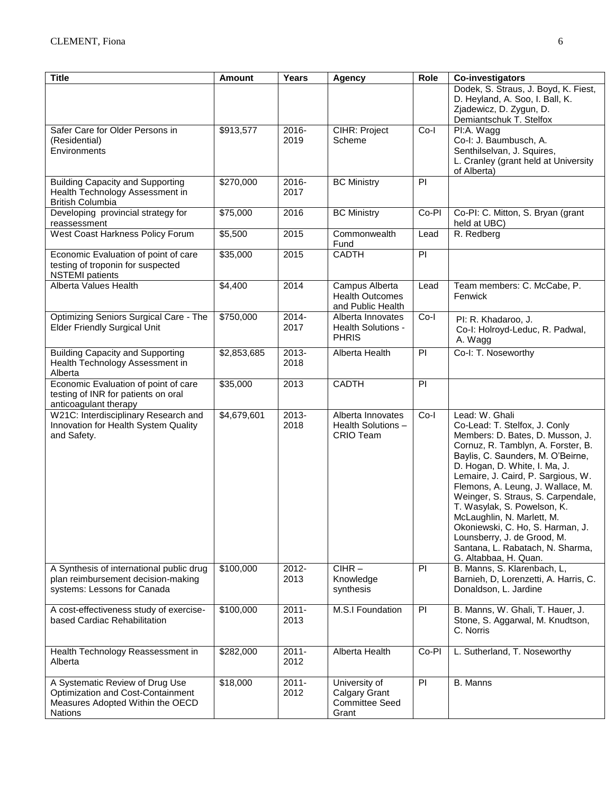| <b>Title</b>                                                                                                               | <b>Amount</b> | Years            | <b>Agency</b>                                                    | Role           | Co-investigators                                                                                                                                                                                                                                                                                                                                                                                                                                                                                              |
|----------------------------------------------------------------------------------------------------------------------------|---------------|------------------|------------------------------------------------------------------|----------------|---------------------------------------------------------------------------------------------------------------------------------------------------------------------------------------------------------------------------------------------------------------------------------------------------------------------------------------------------------------------------------------------------------------------------------------------------------------------------------------------------------------|
|                                                                                                                            |               |                  |                                                                  |                | Dodek, S. Straus, J. Boyd, K. Fiest,<br>D. Heyland, A. Soo, I. Ball, K.<br>Zjadewicz, D. Zygun, D.<br>Demiantschuk T. Stelfox                                                                                                                                                                                                                                                                                                                                                                                 |
| Safer Care for Older Persons in<br>(Residential)<br>Environments                                                           | \$913,577     | 2016-<br>2019    | CIHR: Project<br>Scheme                                          | $Co-I$         | PI:A. Wagg<br>Co-I: J. Baumbusch, A.<br>Senthilselvan, J. Squires,<br>L. Cranley (grant held at University<br>of Alberta)                                                                                                                                                                                                                                                                                                                                                                                     |
| <b>Building Capacity and Supporting</b><br>Health Technology Assessment in<br><b>British Columbia</b>                      | \$270,000     | 2016-<br>2017    | <b>BC Ministry</b>                                               | PI             |                                                                                                                                                                                                                                                                                                                                                                                                                                                                                                               |
| Developing provincial strategy for<br>reassessment                                                                         | \$75,000      | 2016             | <b>BC Ministry</b>                                               | Co-PI          | Co-PI: C. Mitton, S. Bryan (grant<br>held at UBC)                                                                                                                                                                                                                                                                                                                                                                                                                                                             |
| West Coast Harkness Policy Forum                                                                                           | \$5,500       | 2015             | Commonwealth<br>Fund                                             | Lead           | R. Redberg                                                                                                                                                                                                                                                                                                                                                                                                                                                                                                    |
| Economic Evaluation of point of care<br>testing of troponin for suspected<br><b>NSTEMI</b> patients                        | \$35,000      | 2015             | <b>CADTH</b>                                                     | $\overline{P}$ |                                                                                                                                                                                                                                                                                                                                                                                                                                                                                                               |
| Alberta Values Health                                                                                                      | \$4,400       | 2014             | Campus Alberta<br><b>Health Outcomes</b><br>and Public Health    | Lead           | Team members: C. McCabe, P.<br>Fenwick                                                                                                                                                                                                                                                                                                                                                                                                                                                                        |
| Optimizing Seniors Surgical Care - The<br><b>Elder Friendly Surgical Unit</b>                                              | \$750,000     | 2014-<br>2017    | Alberta Innovates<br>Health Solutions -<br><b>PHRIS</b>          | $Co-I$         | PI: R. Khadaroo, J.<br>Co-I: Holroyd-Leduc, R. Padwal,<br>A. Wagg                                                                                                                                                                                                                                                                                                                                                                                                                                             |
| <b>Building Capacity and Supporting</b><br>Health Technology Assessment in<br>Alberta                                      | \$2,853,685   | 2013-<br>2018    | Alberta Health                                                   | P              | Co-I: T. Noseworthy                                                                                                                                                                                                                                                                                                                                                                                                                                                                                           |
| Economic Evaluation of point of care<br>testing of INR for patients on oral<br>anticoagulant therapy                       | \$35,000      | 2013             | <b>CADTH</b>                                                     | PI             |                                                                                                                                                                                                                                                                                                                                                                                                                                                                                                               |
| W21C: Interdisciplinary Research and<br>Innovation for Health System Quality<br>and Safety.                                | \$4,679,601   | 2013-<br>2018    | Alberta Innovates<br>Health Solutions -<br><b>CRIO Team</b>      | $Co-I$         | Lead: W. Ghali<br>Co-Lead: T. Stelfox, J. Conly<br>Members: D. Bates, D. Musson, J.<br>Cornuz, R. Tamblyn, A. Forster, B.<br>Baylis, C. Saunders, M. O'Beirne,<br>D. Hogan, D. White, I. Ma, J.<br>Lemaire, J. Caird, P. Sargious, W.<br>Flemons, A. Leung, J. Wallace, M.<br>Weinger, S. Straus, S. Carpendale,<br>T. Wasylak, S. Powelson, K.<br>McLaughlin, N. Marlett, M.<br>Okoniewski, C. Ho, S. Harman, J.<br>Lounsberry, J. de Grood, M.<br>Santana, L. Rabatach, N. Sharma,<br>G. Altabbaa, H. Quan. |
| A Synthesis of international public drug<br>plan reimbursement decision-making<br>systems: Lessons for Canada              | \$100,000     | 2012-<br>2013    | $CIHR -$<br>Knowledge<br>synthesis                               | PI             | B. Manns, S. Klarenbach, L,<br>Barnieh, D, Lorenzetti, A. Harris, C.<br>Donaldson, L. Jardine                                                                                                                                                                                                                                                                                                                                                                                                                 |
| A cost-effectiveness study of exercise-<br>based Cardiac Rehabilitation                                                    | \$100,000     | $2011 -$<br>2013 | M.S.I Foundation                                                 | <b>PI</b>      | B. Manns, W. Ghali, T. Hauer, J.<br>Stone, S. Aggarwal, M. Knudtson,<br>C. Norris                                                                                                                                                                                                                                                                                                                                                                                                                             |
| Health Technology Reassessment in<br>Alberta                                                                               | \$282,000     | $2011 -$<br>2012 | Alberta Health                                                   | Co-PI          | L. Sutherland, T. Noseworthy                                                                                                                                                                                                                                                                                                                                                                                                                                                                                  |
| A Systematic Review of Drug Use<br>Optimization and Cost-Containment<br>Measures Adopted Within the OECD<br><b>Nations</b> | \$18,000      | $2011 -$<br>2012 | University of<br>Calgary Grant<br><b>Committee Seed</b><br>Grant | PI             | B. Manns                                                                                                                                                                                                                                                                                                                                                                                                                                                                                                      |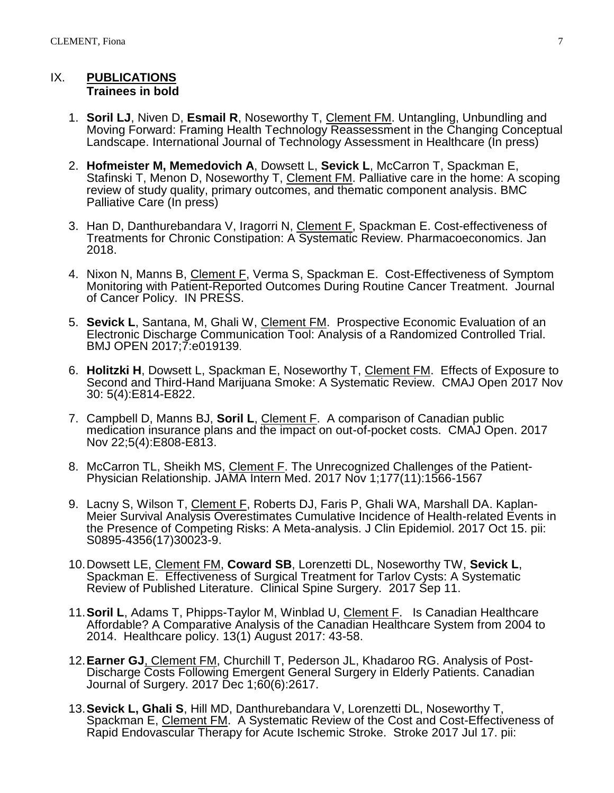#### IX. **PUBLICATIONS Trainees in bold**

- 1. **Soril LJ**, Niven D, **Esmail R**, Noseworthy T, Clement FM. Untangling, Unbundling and Moving Forward: Framing Health Technology Reassessment in the Changing Conceptual Landscape. International Journal of Technology Assessment in Healthcare (In press)
- 2. **Hofmeister M, Memedovich A**, Dowsett L, **Sevick L**, McCarron T, Spackman E, Stafinski T, Menon D, Noseworthy T, Clement FM. Palliative care in the home: A scoping review of study quality, primary outcomes, and thematic component analysis. BMC Palliative Care (In press)
- 3. Han D, Danthurebandara V, Iragorri N, Clement F, Spackman E. Cost-effectiveness of Treatments for Chronic Constipation: A Systematic Review. Pharmacoeconomics. Jan 2018.
- 4. Nixon N, Manns B, Clement F, Verma S, Spackman E. Cost-Effectiveness of Symptom Monitoring with Patient-Reported Outcomes During Routine Cancer Treatment. Journal of Cancer Policy. IN PRESS.
- 5. **Sevick L**, Santana, M, Ghali W, Clement FM. Prospective Economic Evaluation of an Electronic Discharge Communication Tool: Analysis of a Randomized Controlled Trial. BMJ OPEN 2017;7:e019139.
- 6. **Holitzki H**, Dowsett L, Spackman E, Noseworthy T, Clement FM. Effects of Exposure to Second and Third-Hand Marijuana Smoke: A Systematic Review. CMAJ Open 2017 Nov 30: 5(4):E814-E822.
- 7. Campbell D, Manns BJ, **Soril L**, Clement F. A comparison of Canadian public medication insurance plans and the impact on out-of-pocket costs. CMAJ Open. 2017 Nov 22;5(4):E808-E813.
- 8. McCarron TL, Sheikh MS, Clement F. [The Unrecognized Challenges of the Patient-](https://www.ncbi.nlm.nih.gov/pubmed/29052694)[Physician Relationship.](https://www.ncbi.nlm.nih.gov/pubmed/29052694) JAMA Intern Med. 2017 Nov 1;177(11):1566-1567
- 9. Lacny S, Wilson T, Clement F, Roberts DJ, Faris P, Ghali WA, Marshall DA. [Kaplan-](https://www.ncbi.nlm.nih.gov/pubmed/29045808)[Meier Survival Analysis Overestimates Cumulative Incidence of Health-related Events in](https://www.ncbi.nlm.nih.gov/pubmed/29045808)  [the Presence of Competing Risks: A Meta-analysis.](https://www.ncbi.nlm.nih.gov/pubmed/29045808) J Clin Epidemiol. 2017 Oct 15. pii: S0895-4356(17)30023-9.
- 10.Dowsett LE, Clement FM, **Coward SB**, Lorenzetti DL, Noseworthy TW, **Sevick L**, Spackman E. Effectiveness of Surgical Treatment for Tarlov Cysts: A Systematic Review of Published Literature. Clinical Spine Surgery. 2017 Sep 11.
- 11.**Soril L**, Adams T, Phipps-Taylor M, Winblad U, Clement F. Is Canadian Healthcare Affordable? A Comparative Analysis of the Canadian Healthcare System from 2004 to 2014. Healthcare policy. 13(1) August 2017: 43-58.
- 12.**Earner GJ**, Clement FM, Churchill T, Pederson JL, Khadaroo RG. Analysis of Post-Discharge Costs Following Emergent General Surgery in Elderly Patients. Canadian Journal of Surgery. 2017 Dec 1;60(6):2617.
- 13.**Sevick L, Ghali S**, Hill MD, Danthurebandara V, Lorenzetti DL, Noseworthy T, Spackman E, Clement FM. A Systematic Review of the Cost and Cost-Effectiveness of Rapid Endovascular Therapy for Acute Ischemic Stroke. Stroke 2017 Jul 17. pii: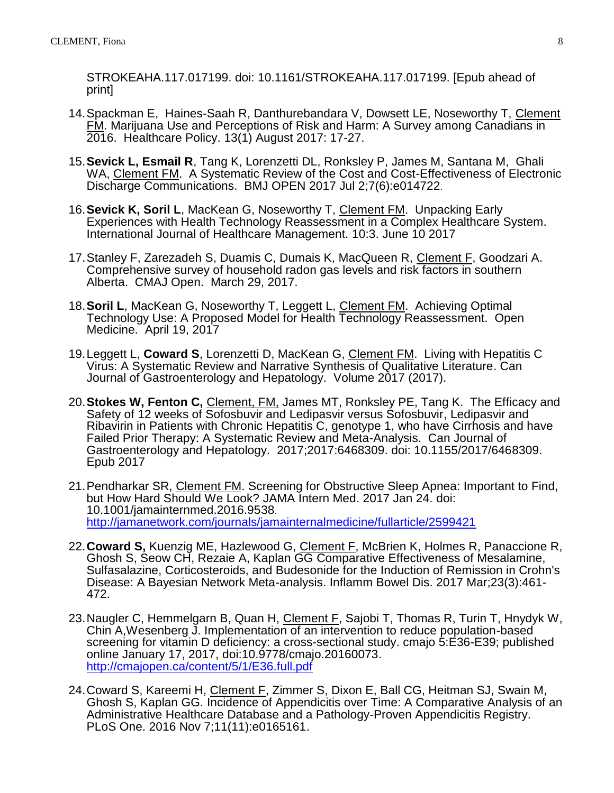STROKEAHA.117.017199. doi: 10.1161/STROKEAHA.117.017199. [Epub ahead of print]

- 14.Spackman E, Haines-Saah R, Danthurebandara V, Dowsett LE, Noseworthy T, Clement FM. Marijuana Use and Perceptions of Risk and Harm: A Survey among Canadians in 2016. Healthcare Policy. 13(1) August 2017: 17-27.
- 15.**Sevick L, Esmail R**, Tang K, Lorenzetti DL, Ronksley P, James M, Santana M, Ghali WA, Clement FM. A Systematic Review of the Cost and Cost-Effectiveness of Electronic Discharge Communications. BMJ OPEN 2017 Jul 2;7(6):e014722.
- 16.**Sevick K, Soril L**, MacKean G, Noseworthy T, Clement FM. Unpacking Early Experiences with Health Technology Reassessment in a Complex Healthcare System. International Journal of Healthcare Management. 10:3. June 10 2017
- 17.Stanley F, Zarezadeh S, Duamis C, Dumais K, MacQueen R, Clement F, Goodzari A. Comprehensive survey of household radon gas levels and risk factors in southern Alberta. CMAJ Open. March 29, 2017.
- 18.**Soril L**, MacKean G, Noseworthy T, Leggett L, Clement FM. Achieving Optimal Technology Use: A Proposed Model for Health Technology Reassessment. Open Medicine. April 19, 2017
- 19.Leggett L, **Coward S**, Lorenzetti D, MacKean G, Clement FM. Living with Hepatitis C Virus: A Systematic Review and Narrative Synthesis of Qualitative Literature. Can Journal of Gastroenterology and Hepatology. Volume 2017 (2017).
- 20.**Stokes W, Fenton C,** Clement, FM, James MT, Ronksley PE, Tang K. The Efficacy and Safety of 12 weeks of Sofosbuvir and Ledipasvir versus Sofosbuvir, Ledipasvir and Ribavirin in Patients with Chronic Hepatitis C, genotype 1, who have Cirrhosis and have Failed Prior Therapy: A Systematic Review and Meta-Analysis. Can Journal of Gastroenterology and Hepatology. 2017;2017:6468309. doi: 10.1155/2017/6468309. Epub 2017
- 21. Pendharkar SR, Clement FM. Screening for Obstructive Sleep Apnea: Important to Find, [but How Hard Should We Look?](https://www.ncbi.nlm.nih.gov/pubmed/28118428) JAMA Intern Med. 2017 Jan 24. doi: 10.1001/jamainternmed.2016.9538. <http://jamanetwork.com/journals/jamainternalmedicine/fullarticle/2599421>
- 22.**Coward S,** Kuenzig ME, Hazlewood G, Clement F, McBrien K, Holmes R, Panaccione R, Ghosh S, Seow CH, Rezaie A, Kaplan GG [Comparative Effectiveness of Mesalamine,](https://www.ncbi.nlm.nih.gov/pubmed/28146003)  [Sulfasalazine, Corticosteroids, and Budesonide for the Induction of Remission in Crohn's](https://www.ncbi.nlm.nih.gov/pubmed/28146003)  [Disease: A Bayesian Network Meta-analysis.](https://www.ncbi.nlm.nih.gov/pubmed/28146003) Inflamm Bowel Dis. 2017 Mar;23(3):461- 472.
- 23. Naugler C, Hemmelgarn B, Quan H, Clement F, Sajobi T, Thomas R, Turin T, Hnydyk W, Chin A,Wesenberg J. Implementation of an intervention to reduce population-based screening for vitamin D deficiency: a cross-sectional study. cmajo 5:E36-E39; published online January 17, 2017, doi:10.9778/cmajo.20160073. <http://cmajopen.ca/content/5/1/E36.full.pdf>
- 24.Coward S, Kareemi H, Clement F, Zimmer S, Dixon E, Ball CG, Heitman SJ, Swain M, Ghosh S, Kaplan GG. [Incidence of Appendicitis over Time: A Comparative Analysis of an](https://www.ncbi.nlm.nih.gov/pubmed/27820826)  [Administrative Healthcare Database and a Pathology-Proven Appendicitis Registry.](https://www.ncbi.nlm.nih.gov/pubmed/27820826) PLoS One. 2016 Nov 7;11(11):e0165161.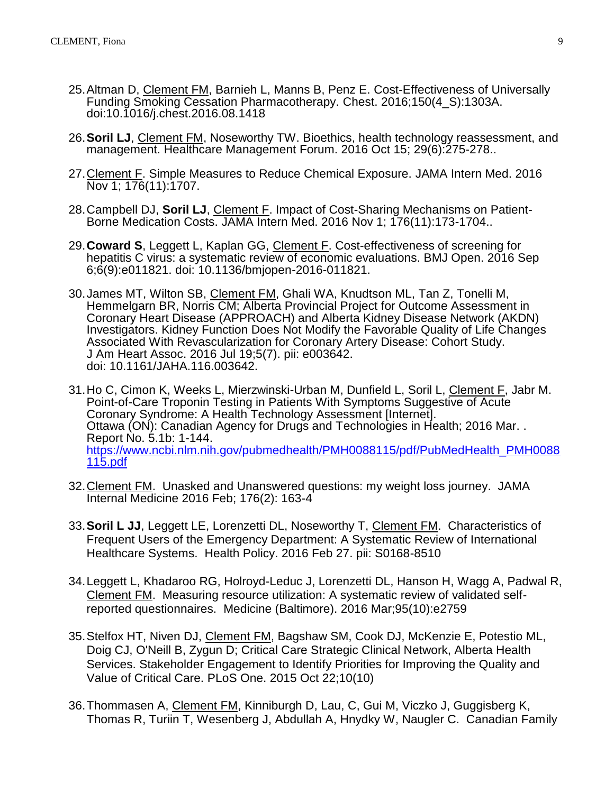- 25.Altman D, Clement FM, Barnieh L, Manns B, Penz E. Cost-Effectiveness of Universally Funding Smoking Cessation Pharmacotherapy. Chest. 2016;150(4\_S):1303A. doi:10.1016/j.chest.2016.08.1418
- 26.**Soril LJ**, Clement FM, Noseworthy TW. [Bioethics, health technology reassessment, and](https://www.ncbi.nlm.nih.gov/pubmed/27744278)  [management.](https://www.ncbi.nlm.nih.gov/pubmed/27744278) Healthcare Management Forum. 2016 Oct 15; 29(6):275-278..
- 27.Clement F. [Simple Measures to Reduce Chemical Exposure.](https://www.ncbi.nlm.nih.gov/pubmed/27668813) JAMA Intern Med. 2016 Nov 1; 176(11):1707.
- 28.Campbell DJ, **Soril LJ**, Clement F. [Impact of Cost-Sharing Mechanisms on Patient-](https://www.ncbi.nlm.nih.gov/pubmed/27618359)[Borne Medication Costs.](https://www.ncbi.nlm.nih.gov/pubmed/27618359) JAMA Intern Med. 2016 Nov 1; 176(11):173-1704..
- 29.**Coward S**, Leggett L, Kaplan GG, Clement F. [Cost-effectiveness of screening for](https://www.ncbi.nlm.nih.gov/pubmed/27601496)  [hepatitis C virus: a systematic review of economic evaluations.](https://www.ncbi.nlm.nih.gov/pubmed/27601496) BMJ Open. 2016 Sep 6;6(9):e011821. doi: 10.1136/bmjopen-2016-011821.
- 30.James MT, Wilton SB, Clement FM, Ghali WA, Knudtson ML, Tan Z, Tonelli M, Hemmelgarn BR, Norris CM; Alberta Provincial Project for Outcome Assessment in Coronary Heart Disease (APPROACH) and Alberta Kidney Disease Network (AKDN) Investigators. [Kidney Function Does Not Modify the Favorable Quality of Life Changes](https://www.ncbi.nlm.nih.gov/pubmed/27436303)  [Associated With Revascularization for Coronary Artery Disease: Cohort Study.](https://www.ncbi.nlm.nih.gov/pubmed/27436303) J Am Heart Assoc. 2016 Jul 19;5(7). pii: e003642. doi: 10.1161/JAHA.116.003642.
- 31.Ho C, Cimon K, Weeks L, Mierzwinski-Urban M, Dunfield L, Soril L, Clement F, Jabr M. [Point-of-Care Troponin Testing in Patients With Symptoms Suggestive of Acute](https://www.ncbi.nlm.nih.gov/pubmed/27227213)  [Coronary Syndrome: A Health Technology Assessment \[Internet\].](https://www.ncbi.nlm.nih.gov/pubmed/27227213) Ottawa (ON): Canadian Agency for Drugs and Technologies in Health; 2016 Mar. . Report No. 5.1b: 1-144. [https://www.ncbi.nlm.nih.gov/pubmedhealth/PMH0088115/pdf/PubMedHealth\\_PMH0088](https://www.ncbi.nlm.nih.gov/pubmedhealth/PMH0088115/pdf/PubMedHealth_PMH0088115.pdf) [115.pdf](https://www.ncbi.nlm.nih.gov/pubmedhealth/PMH0088115/pdf/PubMedHealth_PMH0088115.pdf)
- 32.Clement FM. Unasked and Unanswered questions: my weight loss journey. JAMA Internal Medicine 2016 Feb; 176(2): 163-4
- 33.**Soril L JJ**, Leggett LE, Lorenzetti DL, Noseworthy T, Clement FM. Characteristics of Frequent Users of the Emergency Department: A Systematic Review of International Healthcare Systems. Health Policy. 2016 Feb 27. pii: S0168-8510
- 34.Leggett L, Khadaroo RG, Holroyd-Leduc J, Lorenzetti DL, Hanson H, Wagg A, Padwal R, Clement FM. Measuring resource utilization: A systematic review of validated selfreported questionnaires. Medicine (Baltimore). 2016 Mar;95(10):e2759
- 35.Stelfox HT, Niven DJ, Clement FM, Bagshaw SM, Cook DJ, McKenzie E, Potestio ML, Doig CJ, O'Neill B, Zygun D; Critical Care Strategic Clinical Network, Alberta Health Services. [Stakeholder Engagement to Identify Priorities for Improving the Quality and](http://www.ncbi.nlm.nih.gov/pubmed/26492196)  [Value of Critical Care.](http://www.ncbi.nlm.nih.gov/pubmed/26492196) PLoS One. 2015 Oct 22;10(10)
- 36.Thommasen A, Clement FM, Kinniburgh D, Lau, C, Gui M, Viczko J, Guggisberg K, Thomas R, Turiin T, Wesenberg J, Abdullah A, Hnydky W, Naugler C. Canadian Family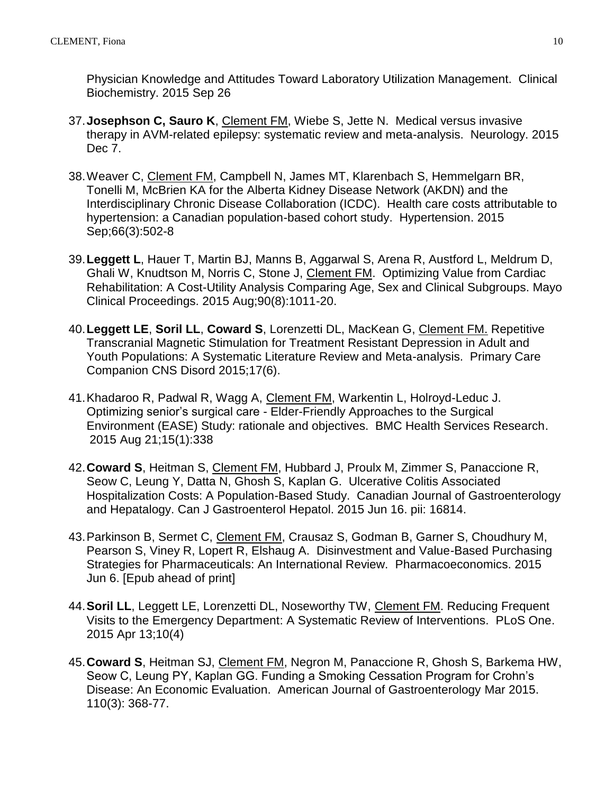Physician Knowledge and Attitudes Toward Laboratory Utilization Management. Clinical Biochemistry. 2015 Sep 26

- 37.**Josephson C, Sauro K**, Clement FM, Wiebe S, Jette N. Medical versus invasive therapy in AVM-related epilepsy: systematic review and meta-analysis. Neurology. 2015 Dec 7.
- 38.Weaver C, Clement FM, Campbell N, James MT, Klarenbach S, Hemmelgarn BR, Tonelli M, McBrien KA for the Alberta Kidney Disease Network (AKDN) and the Interdisciplinary Chronic Disease Collaboration (ICDC). Health care costs attributable to hypertension: a Canadian population-based cohort study. Hypertension. 2015 Sep;66(3):502-8
- 39.**Leggett L**, Hauer T, Martin BJ, Manns B, Aggarwal S, Arena R, Austford L, Meldrum D, Ghali W, Knudtson M, Norris C, Stone J, Clement FM. Optimizing Value from Cardiac Rehabilitation: A Cost-Utility Analysis Comparing Age, Sex and Clinical Subgroups. Mayo Clinical Proceedings. 2015 Aug;90(8):1011-20.
- 40.**Leggett LE**, **Soril LL**, **Coward S**, Lorenzetti DL, MacKean G, Clement FM. Repetitive Transcranial Magnetic Stimulation for Treatment Resistant Depression in Adult and Youth Populations: A Systematic Literature Review and Meta-analysis. Primary Care Companion CNS Disord 2015;17(6).
- 41.Khadaroo R, Padwal R, Wagg A, Clement FM, Warkentin L, Holroyd-Leduc J. Optimizing senior's surgical care - Elder-Friendly Approaches to the Surgical Environment (EASE) Study: rationale and objectives. BMC Health Services Research. 2015 Aug 21;15(1):338
- 42.**Coward S**, Heitman S, Clement FM, Hubbard J, Proulx M, Zimmer S, Panaccione R, Seow C, Leung Y, Datta N, Ghosh S, Kaplan G. Ulcerative Colitis Associated Hospitalization Costs: A Population-Based Study. Canadian Journal of Gastroenterology and Hepatalogy. Can J Gastroenterol Hepatol. 2015 Jun 16. pii: 16814.
- 43.Parkinson B, Sermet C, Clement FM, Crausaz S, Godman B, Garner S, Choudhury M, Pearson S, Viney R, Lopert R, Elshaug A. Disinvestment and Value-Based Purchasing Strategies for Pharmaceuticals: An International Review. Pharmacoeconomics. 2015 Jun 6. [Epub ahead of print]
- 44.**Soril LL**, Leggett LE, Lorenzetti DL, Noseworthy TW, Clement FM. Reducing Frequent Visits to the Emergency Department: A Systematic Review of Interventions. PLoS One. 2015 Apr 13;10(4)
- 45.**Coward S**, Heitman SJ, Clement FM, Negron M, Panaccione R, Ghosh S, Barkema HW, Seow C, Leung PY, Kaplan GG. Funding a Smoking Cessation Program for Crohn's Disease: An Economic Evaluation. American Journal of Gastroenterology Mar 2015. 110(3): 368-77.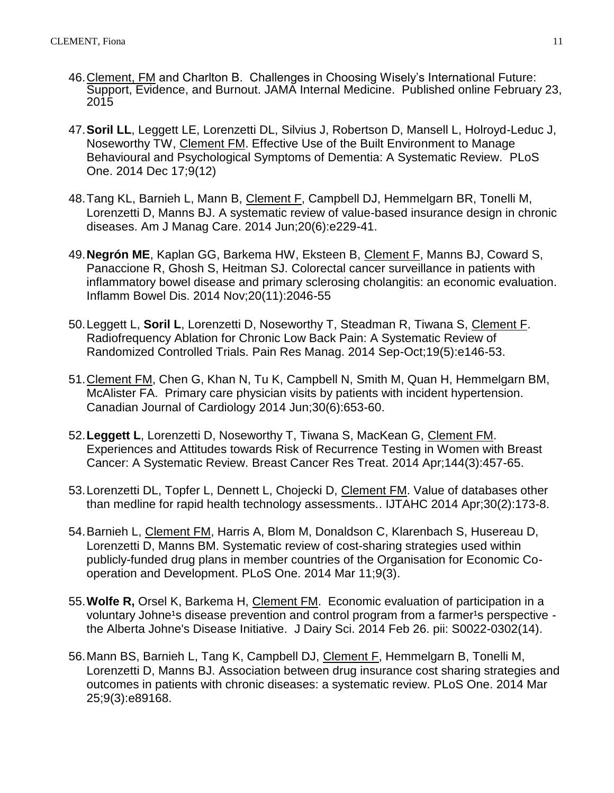- 46.Clement, FM and Charlton B. Challenges in Choosing Wisely's International Future: Support, Evidence, and Burnout. JAMA Internal Medicine. Published online February 23, 2015
- 47.**Soril LL**, Leggett LE, Lorenzetti DL, Silvius J, Robertson D, Mansell L, Holroyd-Leduc J, Noseworthy TW, Clement FM. Effective Use of the Built Environment to Manage Behavioural and Psychological Symptoms of Dementia: A Systematic Review. PLoS One. 2014 Dec 17;9(12)
- 48. Tang KL, Barnieh L, Mann B, Clement F, Campbell DJ, Hemmelgarn BR, Tonelli M, Lorenzetti D, Manns BJ. [A systematic review of value-based insurance design in chronic](http://www.ncbi.nlm.nih.gov/pubmed/25326932)  [diseases.](http://www.ncbi.nlm.nih.gov/pubmed/25326932) Am J Manag Care. 2014 Jun;20(6):e229-41.
- 49.**Negrón ME**, Kaplan GG, Barkema HW, Eksteen B, Clement F, Manns BJ, Coward S, Panaccione R, Ghosh S, Heitman SJ. [Colorectal cancer surveillance in patients with](http://www.ncbi.nlm.nih.gov/pubmed/25230162)  [inflammatory bowel disease and primary sclerosing cholangitis: an economic evaluation.](http://www.ncbi.nlm.nih.gov/pubmed/25230162) Inflamm Bowel Dis. 2014 Nov;20(11):2046-55
- 50.Leggett L, **Soril L**, Lorenzetti D, Noseworthy T, Steadman R, Tiwana S, Clement F. Radiofrequency Ablation for Chronic Low Back Pain: A Systematic Review of Randomized Controlled Trials. Pain Res Manag. 2014 Sep-Oct;19(5):e146-53.
- 51.Clement FM, Chen G, Khan N, Tu K, Campbell N, Smith M, Quan H, Hemmelgarn BM, McAlister FA. Primary care physician visits by patients with incident hypertension. Canadian Journal of Cardiology 2014 Jun;30(6):653-60.
- 52.**Leggett L**, Lorenzetti D, Noseworthy T, Tiwana S, MacKean G, Clement FM. Experiences and Attitudes towards Risk of Recurrence Testing in Women with Breast Cancer: A Systematic Review. Breast Cancer Res Treat. 2014 Apr;144(3):457-65.
- 53.Lorenzetti DL, Topfer L, Dennett L, Chojecki D, Clement FM. [Value of databases other](http://www.ncbi.nlm.nih.gov/pubmed/24774535)  [than medline for rapid health technology assessments..](http://www.ncbi.nlm.nih.gov/pubmed/24774535) IJTAHC 2014 Apr;30(2):173-8.
- 54.Barnieh L, Clement FM, Harris A, Blom M, Donaldson C, Klarenbach S, Husereau D, Lorenzetti D, Manns BM. Systematic review of cost-sharing strategies used within publicly-funded drug plans in member countries of the Organisation for Economic Cooperation and Development. PLoS One. 2014 Mar 11;9(3).
- 55.**Wolfe R,** Orsel K, Barkema H, Clement FM. Economic evaluation of participation in a voluntary Johne<sup>1</sup>s disease prevention and control program from a farmer<sup>1</sup>s perspective the Alberta Johne's Disease Initiative. J Dairy Sci. 2014 Feb 26. pii: S0022-0302(14).
- 56.Mann BS, Barnieh L, Tang K, Campbell DJ, Clement F, Hemmelgarn B, Tonelli M, Lorenzetti D, Manns BJ. [Association between drug insurance cost sharing strategies and](http://www.ncbi.nlm.nih.gov/pubmed/24667163)  [outcomes in patients with chronic diseases: a systematic review.](http://www.ncbi.nlm.nih.gov/pubmed/24667163) PLoS One. 2014 Mar 25;9(3):e89168.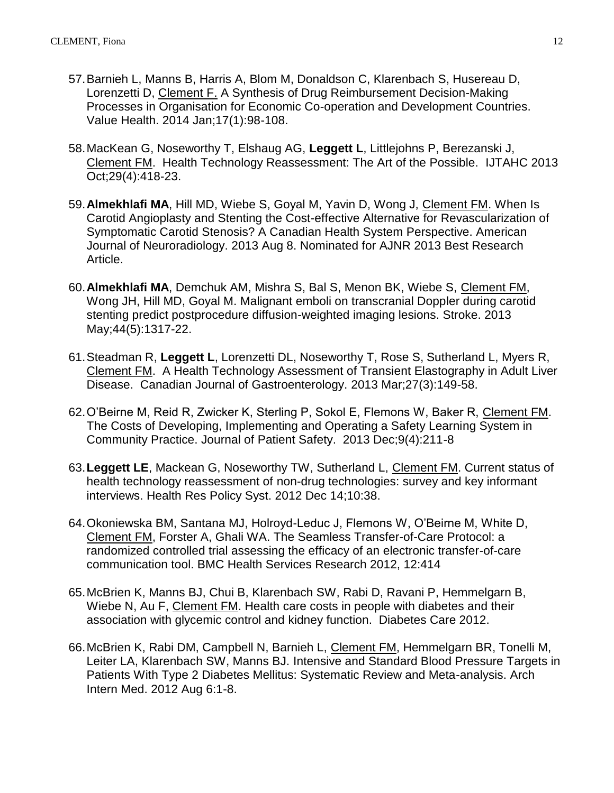- 57.Barnieh L, Manns B, Harris A, Blom M, Donaldson C, Klarenbach S, Husereau D, Lorenzetti D, Clement F. [A Synthesis of Drug Reimbursement Decision-Making](http://www.ncbi.nlm.nih.gov/pubmed/24438723)  [Processes in Organisation for Economic Co-operation and Development Countries.](http://www.ncbi.nlm.nih.gov/pubmed/24438723) Value Health. 2014 Jan;17(1):98-108.
- 58.MacKean G, Noseworthy T, Elshaug AG, **Leggett L**, Littlejohns P, Berezanski J, Clement FM. Health Technology Reassessment: The Art of the Possible. IJTAHC 2013 Oct;29(4):418-23.
- 59.**Almekhlafi MA**, Hill MD, Wiebe S, Goyal M, Yavin D, Wong J, Clement FM. When Is Carotid Angioplasty and Stenting the Cost-effective Alternative for Revascularization of Symptomatic Carotid Stenosis? A Canadian Health System Perspective. American Journal of Neuroradiology. 2013 Aug 8. Nominated for AJNR 2013 Best Research Article.
- 60.**Almekhlafi MA**, Demchuk AM, Mishra S, Bal S, Menon BK, Wiebe S, Clement FM, Wong JH, Hill MD, Goyal M. [Malignant emboli on transcranial Doppler during carotid](http://www.ncbi.nlm.nih.gov/pubmed/23532010)  [stenting predict postprocedure diffusion-weighted imaging lesions.](http://www.ncbi.nlm.nih.gov/pubmed/23532010) Stroke. 2013 May;44(5):1317-22.
- 61.Steadman R, **Leggett L**, Lorenzetti DL, Noseworthy T, Rose S, Sutherland L, Myers R, Clement FM. A Health Technology Assessment of Transient Elastography in Adult Liver Disease. Canadian Journal of Gastroenterology. 2013 Mar;27(3):149-58.
- 62.O'Beirne M, Reid R, Zwicker K, Sterling P, Sokol E, Flemons W, Baker R, Clement FM. The Costs of Developing, Implementing and Operating a Safety Learning System in Community Practice. Journal of Patient Safety. 2013 Dec;9(4):211-8
- 63.**Leggett LE**, Mackean G, Noseworthy TW, Sutherland L, Clement FM. [Current status of](http://www.ncbi.nlm.nih.gov/pubmed/23241276)  health technology reassessment of [non-drug technologies: survey and key informant](http://www.ncbi.nlm.nih.gov/pubmed/23241276)  [interviews.](http://www.ncbi.nlm.nih.gov/pubmed/23241276) Health Res Policy Syst. 2012 Dec 14;10:38.
- 64.Okoniewska BM, Santana MJ, Holroyd-Leduc J, Flemons W, O'Beirne M, White D, Clement FM, Forster A, Ghali WA. The Seamless Transfer-of-Care Protocol: a randomized controlled trial assessing the efficacy of an electronic transfer-of-care communication tool. BMC Health Services Research 2012, 12:414
- 65.McBrien K, Manns BJ, Chui B, Klarenbach SW, Rabi D, Ravani P, Hemmelgarn B, Wiebe N, Au F, Clement FM. Health care costs in people with diabetes and their association with glycemic control and kidney function. Diabetes Care 2012.
- 66.McBrien K, Rabi DM, Campbell N, Barnieh L, Clement FM, Hemmelgarn BR, Tonelli M, Leiter LA, Klarenbach SW, Manns BJ. [Intensive and Standard Blood Pressure Targets in](http://www.ncbi.nlm.nih.gov/pubmed/22868819)  [Patients With Type 2 Diabetes Mellitus: Systematic Review and Meta-analysis.](http://www.ncbi.nlm.nih.gov/pubmed/22868819) Arch Intern Med. 2012 Aug 6:1-8.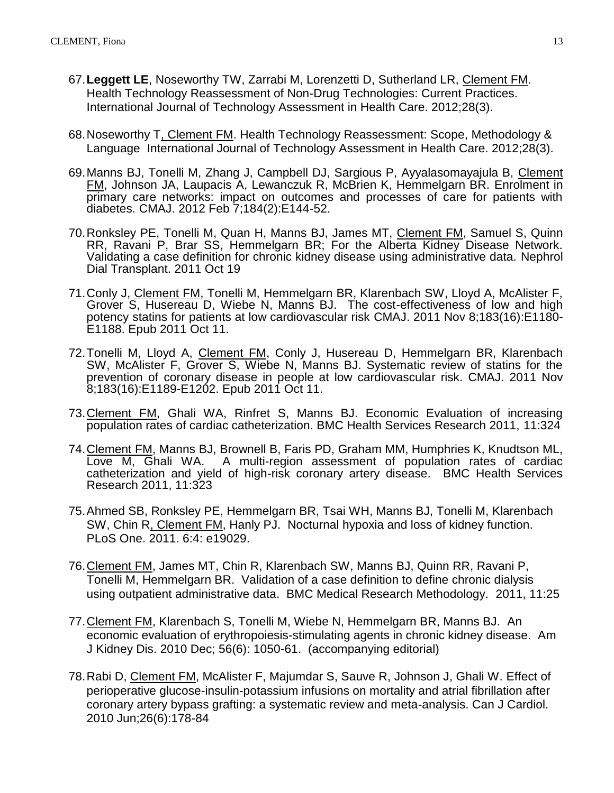- 67.**Leggett LE**, Noseworthy TW, Zarrabi M, Lorenzetti D, Sutherland LR, Clement FM. Health Technology Reassessment of Non-Drug Technologies: Current Practices. International Journal of Technology Assessment in Health Care. 2012;28(3).
- 68.Noseworthy T, Clement FM. Health Technology Reassessment: Scope, Methodology & Language International Journal of Technology Assessment in Health Care. 2012;28(3).
- 69.Manns BJ, Tonelli M, Zhang J, Campbell DJ, Sargious P, Ayyalasomayajula B, Clement FM, Johnson JA, Laupacis A, Lewanczuk R, McBrien K, Hemmelgarn BR. Enrolment in [primary care networks: impact on outcomes and processes of care for patients with](http://www.ncbi.nlm.nih.gov/pubmed/22143232)  [diabetes.](http://www.ncbi.nlm.nih.gov/pubmed/22143232) CMAJ. 2012 Feb 7;184(2):E144-52.
- 70.Ronksley PE, Tonelli M, Quan H, Manns BJ, James MT, Clement FM, Samuel S, Quinn RR, Ravani P, Brar SS, Hemmelgarn BR; For the Alberta Kidney Disease Network. [Validating a case definition for chronic kidney disease using administrative data.](http://www.ncbi.nlm.nih.gov/pubmed/22015442) Nephrol Dial Transplant. 2011 Oct 19
- 71.Conly J, Clement FM, Tonelli M, Hemmelgarn BR, Klarenbach SW, Lloyd A, McAlister F, Grover S, Husereau D, Wiebe N, Manns BJ. The cost-effectiveness of low and high potency statins for patients at low cardiovascular risk CMAJ. 2011 Nov 8;183(16):E1180- E1188. Epub 2011 Oct 11.
- 72. Tonelli M, Lloyd A, Clement FM, Conly J, Husereau D, Hemmelgarn BR, Klarenbach SW, McAlister F, Grover S, Wiebe N, Manns BJ. Systematic review of statins for the prevention of coronary disease in people at low cardiovascular risk. CMAJ. 2011 Nov 8;183(16):E1189-E1202. Epub 2011 Oct 11.
- 73.Clement FM, Ghali WA, Rinfret S, Manns BJ. Economic Evaluation of increasing population rates of cardiac catheterization. BMC Health Services Research 2011, 11:324
- 74.Clement FM, Manns BJ, Brownell B, Faris PD, Graham MM, Humphries K, Knudtson ML, Love M, Ghali WA. A multi-region assessment of population rates of cardiac catheterization and yield of high-risk coronary artery disease. BMC Health Services Research 2011, 11:323
- 75.Ahmed SB, Ronksley PE, Hemmelgarn BR, Tsai WH, Manns BJ, Tonelli M, Klarenbach SW, Chin R, Clement FM, Hanly PJ. [Nocturnal hypoxia and loss of kidney function.](http://www.ncbi.nlm.nih.gov/pubmed/21559506) PLoS One. 2011. 6:4: e19029.
- 76.Clement FM, James MT, Chin R, Klarenbach SW, Manns BJ, Quinn RR, Ravani P, Tonelli M, Hemmelgarn BR. Validation of a case definition to define chronic dialysis using outpatient administrative data. BMC Medical Research Methodology. 2011, 11:25
- 77.Clement FM, Klarenbach S, Tonelli M, Wiebe N, Hemmelgarn BR, Manns BJ. An economic evaluation of erythropoiesis-stimulating agents in chronic kidney disease. Am J Kidney Dis. 2010 Dec; 56(6): 1050-61. (accompanying editorial)
- 78.Rabi D, Clement FM, McAlister F, Majumdar S, Sauve R, Johnson J, Ghali W. [Effect of](http://www.ncbi.nlm.nih.gov/pubmed/20548978)  [perioperative glucose-insulin-potassium infusions on mortality and atrial fibrillation after](http://www.ncbi.nlm.nih.gov/pubmed/20548978)  [coronary artery bypass grafting: a systematic review and meta-analysis.](http://www.ncbi.nlm.nih.gov/pubmed/20548978) Can J Cardiol. 2010 Jun;26(6):178-84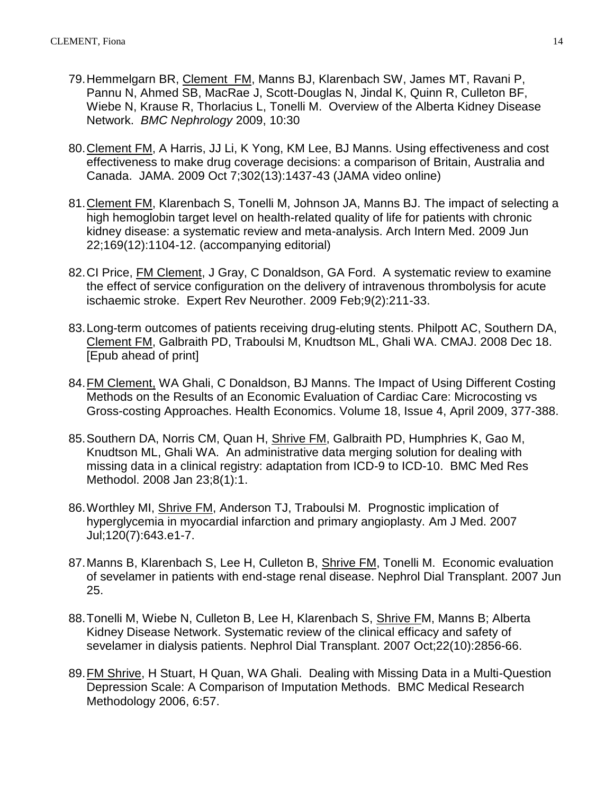- 79.Hemmelgarn BR, Clement FM, Manns BJ, Klarenbach SW, James MT, Ravani P, Pannu N, Ahmed SB, MacRae J, Scott-Douglas N, Jindal K, Quinn R, Culleton BF, Wiebe N, Krause R, Thorlacius L, Tonelli M. Overview of the Alberta Kidney Disease Network. *BMC Nephrology* 2009, 10:30
- 80. Clement FM, A Harris, JJ Li, K Yong, KM Lee, BJ Manns. Using effectiveness and cost effectiveness to make drug coverage decisions: a comparison of Britain, Australia and Canada. [JAMA.](javascript:AL_get(this,%20) 2009 Oct 7;302(13):1437-43 (JAMA video online)
- 81.Clement FM, Klarenbach S, Tonelli M, Johnson JA, Manns BJ. [The impact of selecting a](http://www.ncbi.nlm.nih.gov/pubmed/19546410?ordinalpos=1&itool=EntrezSystem2.PEntrez.Pubmed.Pubmed_ResultsPanel.Pubmed_DefaultReportPanel.Pubmed_RVDocSum)  [high hemoglobin target level on health-related quality of life for patients with chronic](http://www.ncbi.nlm.nih.gov/pubmed/19546410?ordinalpos=1&itool=EntrezSystem2.PEntrez.Pubmed.Pubmed_ResultsPanel.Pubmed_DefaultReportPanel.Pubmed_RVDocSum)  [kidney disease: a systematic review and meta-analysis.](http://www.ncbi.nlm.nih.gov/pubmed/19546410?ordinalpos=1&itool=EntrezSystem2.PEntrez.Pubmed.Pubmed_ResultsPanel.Pubmed_DefaultReportPanel.Pubmed_RVDocSum) Arch Intern Med. 2009 Jun 22;169(12):1104-12. (accompanying editorial)
- 82.CI Price, FM Clement, J Gray, C Donaldson, GA Ford. A systematic review to examine the effect of service configuration on the delivery of intravenous thrombolysis for acute ischaemic stroke. [Expert Rev Neurother.](javascript:AL_get(this,%20) 2009 Feb;9(2):211-33.
- 83[.Long-term outcomes of patients receiving drug-eluting stents.](http://www.ncbi.nlm.nih.gov/pubmed/19095719?ordinalpos=1&itool=EntrezSystem2.PEntrez.Pubmed.Pubmed_ResultsPanel.Pubmed_DefaultReportPanel.Pubmed_RVDocSum) Philpott AC, Southern DA, Clement FM, Galbraith PD, Traboulsi M, Knudtson ML, Ghali WA. CMAJ. 2008 Dec 18. [Epub ahead of print]
- 84.FM Clement, WA Ghali, C Donaldson, BJ Manns. The Impact of Using Different Costing Methods on the Results of an Economic Evaluation of Cardiac Care: Microcosting vs Gross-costing Approaches. Health Economics. Volume 18, Issue 4, April 2009, 377-388.
- 85. Southern DA, Norris CM, Quan H, Shrive FM, Galbraith PD, Humphries K, Gao M, [Knudtson ML, Ghali WA.](http://www.ncbi.nlm.nih.gov/pubmed/18215293?ordinalpos=1&itool=EntrezSystem2.PEntrez.Pubmed.Pubmed_ResultsPanel.Pubmed_RVDocSum) An administrative data merging solution for dealing with missing data in a clinical registry: adaptation from ICD-9 to ICD-10. BMC Med Res Methodol. 2008 Jan 23;8(1):1.
- 86[.Worthley MI, Shrive FM, Anderson TJ, Traboulsi M.](http://www.ncbi.nlm.nih.gov/sites/entrez?Db=pubmed&Cmd=ShowDetailView&TermToSearch=17602940&ordinalpos=1&itool=EntrezSystem2.PEntrez.Pubmed.Pubmed_ResultsPanel.Pubmed_RVDocSum) Prognostic implication of hyperglycemia in myocardial infarction and primary angioplasty. Am J Med. 2007 Jul;120(7):643.e1-7.
- 87[.Manns B, Klarenbach S, Lee H, Culleton B, Shrive FM, Tonelli M.](http://www.ncbi.nlm.nih.gov/sites/entrez?Db=pubmed&Cmd=ShowDetailView&TermToSearch=17595182&ordinalpos=2&itool=EntrezSystem2.PEntrez.Pubmed.Pubmed_ResultsPanel.Pubmed_RVDocSum) Economic evaluation of sevelamer in patients with end-stage renal disease. Nephrol Dial Transplant. 2007 Jun 25.
- 88. Tonelli M, Wiebe N, Culleton B, Lee H, Klarenbach S, Shrive FM, Manns B; Alberta [Kidney Disease Network.](http://www.ncbi.nlm.nih.gov/sites/entrez?Db=pubmed&Cmd=ShowDetailView&TermToSearch=17906326&ordinalpos=1&itool=EntrezSystem2.PEntrez.Pubmed.Pubmed_ResultsPanel.Pubmed_RVDocSum) Systematic review of the clinical efficacy and safety of sevelamer in dialysis patients. Nephrol Dial Transplant. 2007 Oct;22(10):2856-66.
- 89.FM Shrive, H Stuart, H Quan, WA Ghali. Dealing with Missing Data in a Multi-Question Depression Scale: A Comparison of Imputation Methods. BMC Medical Research Methodology 2006, 6:57.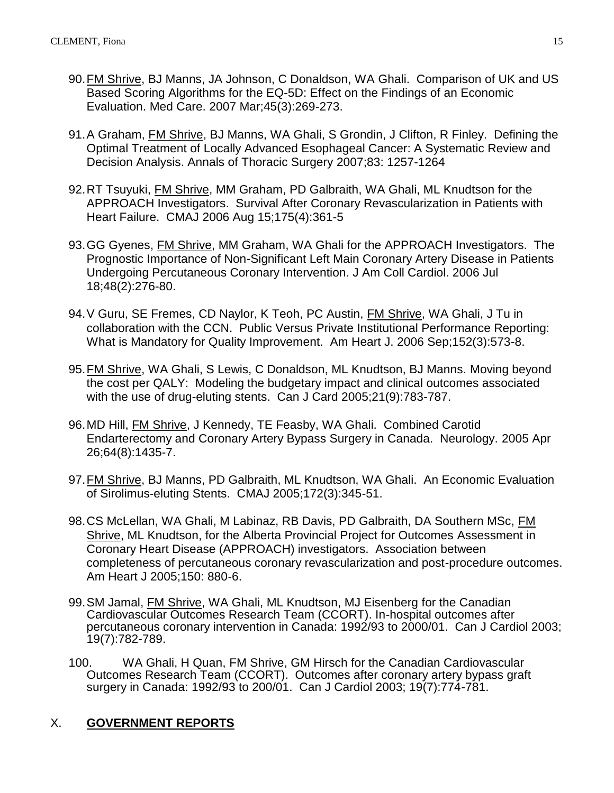- 90.FM Shrive, BJ Manns, JA Johnson, C Donaldson, WA Ghali. Comparison of UK and US Based Scoring Algorithms for the EQ-5D: Effect on the Findings of an Economic Evaluation. Med Care. 2007 Mar;45(3):269-273.
- 91.A Graham, FM Shrive, BJ Manns, WA Ghali, S Grondin, J Clifton, R Finley. Defining the Optimal Treatment of Locally Advanced Esophageal Cancer: A Systematic Review and Decision Analysis. Annals of Thoracic Surgery 2007;83: 1257-1264
- 92.RT Tsuyuki, FM Shrive, MM Graham, PD Galbraith, WA Ghali, ML Knudtson for the APPROACH Investigators. Survival After Coronary Revascularization in Patients with Heart Failure. CMAJ 2006 Aug 15;175(4):361-5
- 93.GG Gyenes, FM Shrive, MM Graham, WA Ghali for the APPROACH Investigators. The Prognostic Importance of Non-Significant Left Main Coronary Artery Disease in Patients Undergoing Percutaneous Coronary Intervention. J Am Coll Cardiol. 2006 Jul 18;48(2):276-80.
- 94.V Guru, SE Fremes, CD Naylor, K Teoh, PC Austin, FM Shrive, WA Ghali, J Tu in collaboration with the CCN. Public Versus Private Institutional Performance Reporting: What is Mandatory for Quality Improvement. Am Heart J. 2006 Sep;152(3):573-8.
- 95.FM Shrive, WA Ghali, S Lewis, C Donaldson, ML Knudtson, BJ Manns. Moving beyond the cost per QALY: Modeling the budgetary impact and clinical outcomes associated with the use of drug-eluting stents. Can J Card 2005;21(9):783-787.
- 96.MD Hill, FM Shrive, J Kennedy, TE Feasby, WA Ghali. Combined Carotid Endarterectomy and Coronary Artery Bypass Surgery in Canada. Neurology. 2005 Apr 26;64(8):1435-7.
- 97.FM Shrive, BJ Manns, PD Galbraith, ML Knudtson, WA Ghali. An Economic Evaluation of Sirolimus-eluting Stents. CMAJ 2005;172(3):345-51.
- 98.CS McLellan, WA Ghali, M Labinaz, RB Davis, PD Galbraith, DA Southern MSc, FM Shrive, ML Knudtson, for the Alberta Provincial Project for Outcomes Assessment in Coronary Heart Disease (APPROACH) investigators. Association between completeness of percutaneous coronary revascularization and post-procedure outcomes. Am Heart J 2005;150: 880-6.
- 99.SM Jamal, FM Shrive, WA Ghali, ML Knudtson, MJ Eisenberg for the Canadian Cardiovascular Outcomes Research Team (CCORT). In-hospital outcomes after percutaneous coronary intervention in Canada: 1992/93 to 2000/01. Can J Cardiol 2003; 19(7):782-789.
- 100. WA Ghali, H Quan, FM Shrive, GM Hirsch for the Canadian Cardiovascular Outcomes Research Team (CCORT). Outcomes after coronary artery bypass graft surgery in Canada: 1992/93 to 200/01. Can J Cardiol 2003; 19(7):774-781.

## X. **GOVERNMENT REPORTS**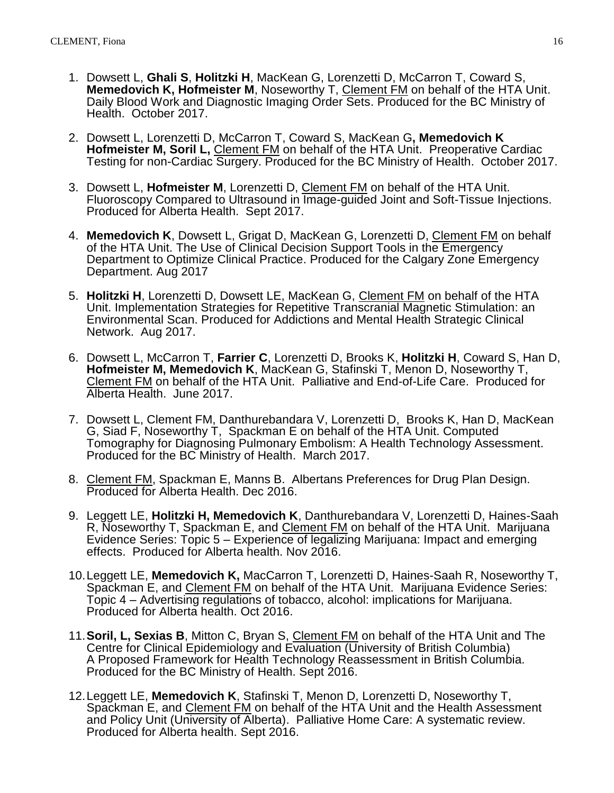- 1. Dowsett L, **Ghali S**, **Holitzki H**, MacKean G, Lorenzetti D, McCarron T, Coward S, **Memedovich K, Hofmeister M**, Noseworthy T, Clement FM on behalf of the HTA Unit. Daily Blood Work and Diagnostic Imaging Order Sets. Produced for the BC Ministry of Health. October 2017.
- 2. Dowsett L, Lorenzetti D, McCarron T, Coward S, MacKean G**, Memedovich K Hofmeister M, Soril L,** Clement FM on behalf of the HTA Unit. Preoperative Cardiac Testing for non-Cardiac Surgery. Produced for the BC Ministry of Health. October 2017.
- 3. Dowsett L, **Hofmeister M**, Lorenzetti D, Clement FM on behalf of the HTA Unit. Fluoroscopy Compared to Ultrasound in Image-guided Joint and Soft-Tissue Injections. Produced for Alberta Health. Sept 2017.
- 4. **Memedovich K**, Dowsett L, Grigat D, MacKean G, Lorenzetti D, Clement FM on behalf of the HTA Unit. The Use of Clinical Decision Support Tools in the Emergency Department to Optimize Clinical Practice. Produced for the Calgary Zone Emergency Department. Aug 2017
- 5. **Holitzki H**, Lorenzetti D, Dowsett LE, MacKean G, Clement FM on behalf of the HTA Unit. Implementation Strategies for Repetitive Transcranial Magnetic Stimulation: an Environmental Scan. Produced for Addictions and Mental Health Strategic Clinical Network. Aug 2017.
- 6. Dowsett L, McCarron T, **Farrier C**, Lorenzetti D, Brooks K, **Holitzki H**, Coward S, Han D, **Hofmeister M, Memedovich K**, MacKean G, Stafinski T, Menon D, Noseworthy T, Clement FM on behalf of the HTA Unit. Palliative and End-of-Life Care. Produced for Alberta Health. June 2017.
- 7. Dowsett L, Clement FM, Danthurebandara V, Lorenzetti D, Brooks K, Han D, MacKean G, Siad F, Noseworthy T, Spackman E on behalf of the HTA Unit. Computed Tomography for Diagnosing Pulmonary Embolism: A Health Technology Assessment. Produced for the BC Ministry of Health. March 2017.
- 8. Clement FM, Spackman E, Manns B. Albertans Preferences for Drug Plan Design. Produced for Alberta Health. Dec 2016.
- 9. Leggett LE, **Holitzki H, Memedovich K**, Danthurebandara V, Lorenzetti D, Haines-Saah R, Noseworthy T, Spackman E, and Clement FM on behalf of the HTA Unit. Marijuana Evidence Series: Topic 5 – Experience of legalizing Marijuana: Impact and emerging effects. Produced for Alberta health. Nov 2016.
- 10.Leggett LE, **Memedovich K,** MacCarron T, Lorenzetti D, Haines-Saah R, Noseworthy T, Spackman E, and Clement FM on behalf of the HTA Unit. Marijuana Evidence Series: Topic 4 – Advertising regulations of tobacco, alcohol: implications for Marijuana. Produced for Alberta health. Oct 2016.
- 11.**Soril, L, Sexias B**, Mitton C, Bryan S, Clement FM on behalf of the HTA Unit and The Centre for Clinical Epidemiology and Evaluation (University of British Columbia) A Proposed Framework for Health Technology Reassessment in British Columbia. Produced for the BC Ministry of Health. Sept 2016.
- 12.Leggett LE, **Memedovich K**, Stafinski T, Menon D, Lorenzetti D, Noseworthy T, Spackman E, and Clement FM on behalf of the HTA Unit and the Health Assessment and Policy Unit (University of Alberta). Palliative Home Care: A systematic review. Produced for Alberta health. Sept 2016.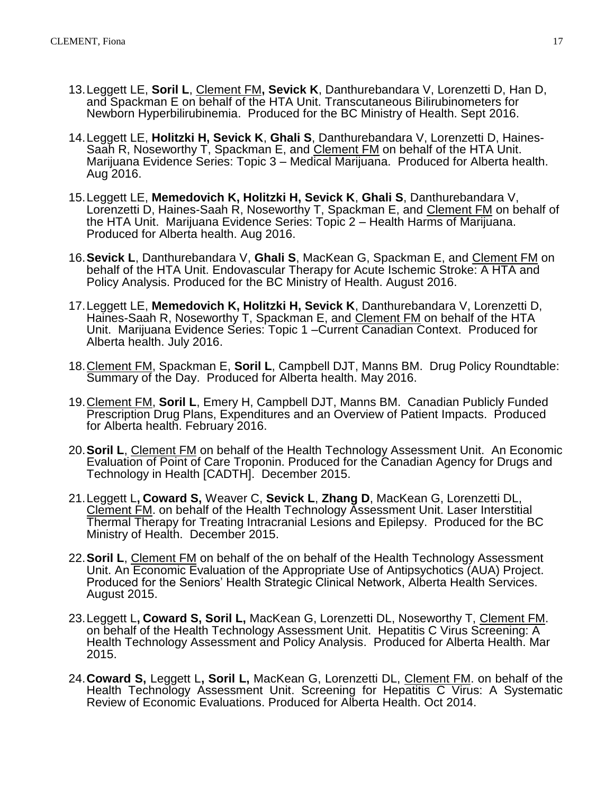- 13.Leggett LE, **Soril L**, Clement FM**, Sevick K**, Danthurebandara V, Lorenzetti D, Han D, and Spackman E on behalf of the HTA Unit. Transcutaneous Bilirubinometers for Newborn Hyperbilirubinemia. Produced for the BC Ministry of Health. Sept 2016.
- 14.Leggett LE, **Holitzki H, Sevick K**, **Ghali S**, Danthurebandara V, Lorenzetti D, Haines-Saah R, Noseworthy T, Spackman E, and Clement FM on behalf of the HTA Unit. Marijuana Evidence Series: Topic 3 – Medical Marijuana. Produced for Alberta health. Aug 2016.
- 15.Leggett LE, **Memedovich K, Holitzki H, Sevick K**, **Ghali S**, Danthurebandara V, Lorenzetti D, Haines-Saah R, Noseworthy T, Spackman E, and Clement FM on behalf of the HTA Unit. Marijuana Evidence Series: Topic 2 – Health Harms of Marijuana. Produced for Alberta health. Aug 2016.
- 16.**Sevick L**, Danthurebandara V, **Ghali S**, MacKean G, Spackman E, and Clement FM on behalf of the HTA Unit. Endovascular Therapy for Acute Ischemic Stroke: A HTA and Policy Analysis. Produced for the BC Ministry of Health. August 2016.
- 17.Leggett LE, **Memedovich K, Holitzki H, Sevick K**, Danthurebandara V, Lorenzetti D, Haines-Saah R, Noseworthy T, Spackman E, and Clement FM on behalf of the HTA Unit. Marijuana Evidence Series: Topic 1 –Current Canadian Context. Produced for Alberta health. July 2016.
- 18.Clement FM, Spackman E, **Soril L**, Campbell DJT, Manns BM. Drug Policy Roundtable: Summary of the Day. Produced for Alberta health. May 2016.
- 19.Clement FM, **Soril L**, Emery H, Campbell DJT, Manns BM. Canadian Publicly Funded Prescription Drug Plans, Expenditures and an Overview of Patient Impacts. Produced for Alberta health. February 2016.
- 20.**Soril L**, Clement FM on behalf of the Health Technology Assessment Unit. An Economic Evaluation of Point of Care Troponin. Produced for the Canadian Agency for Drugs and Technology in Health [CADTH]. December 2015.
- 21.Leggett L**, Coward S,** Weaver C, **Sevick L**, **Zhang D**, MacKean G, Lorenzetti DL, Clement FM. on behalf of the Health Technology Assessment Unit. Laser Interstitial Thermal Therapy for Treating Intracranial Lesions and Epilepsy. Produced for the BC Ministry of Health. December 2015.
- 22.**Soril L**, Clement FM on behalf of the on behalf of the Health Technology Assessment Unit. An Economic Evaluation of the Appropriate Use of Antipsychotics (AUA) Project. Produced for the Seniors' Health Strategic Clinical Network, Alberta Health Services. August 2015.
- 23.Leggett L**, Coward S, Soril L,** MacKean G, Lorenzetti DL, Noseworthy T, Clement FM. on behalf of the Health Technology Assessment Unit. Hepatitis C Virus Screening: A Health Technology Assessment and Policy Analysis. Produced for Alberta Health. Mar 2015.
- 24.**Coward S,** Leggett L**, Soril L,** MacKean G, Lorenzetti DL, Clement FM. on behalf of the Health Technology Assessment Unit. Screening for Hepatitis C Virus: A Systematic Review of Economic Evaluations. Produced for Alberta Health. Oct 2014.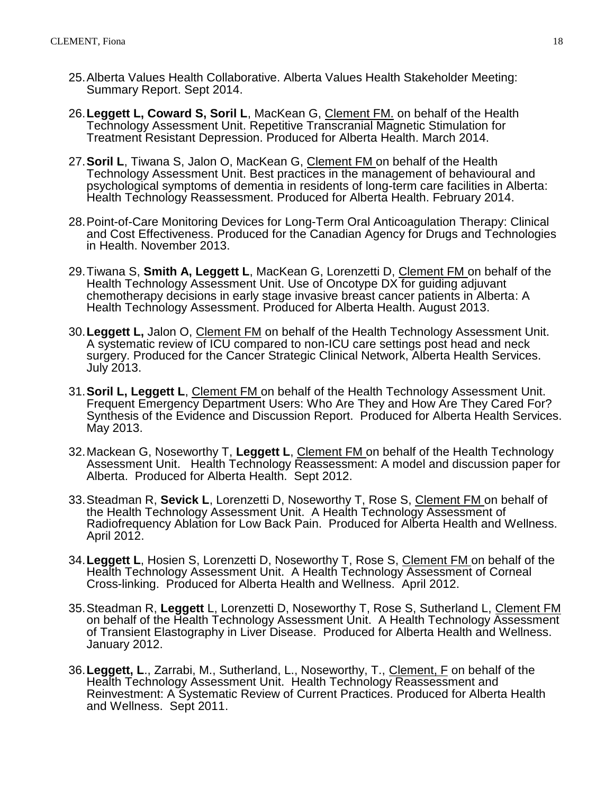- 25.Alberta Values Health Collaborative. Alberta Values Health Stakeholder Meeting: Summary Report. Sept 2014.
- 26.**Leggett L, Coward S, Soril L**, MacKean G, Clement FM. on behalf of the Health Technology Assessment Unit. Repetitive Transcranial Magnetic Stimulation for Treatment Resistant Depression. Produced for Alberta Health. March 2014.
- 27.**Soril L**, Tiwana S, Jalon O, MacKean G, Clement FM on behalf of the Health Technology Assessment Unit. Best practices in the management of behavioural and psychological symptoms of dementia in residents of long-term care facilities in Alberta: Health Technology Reassessment. Produced for Alberta Health. February 2014.
- 28.Point-of-Care Monitoring Devices for Long-Term Oral Anticoagulation Therapy: Clinical and Cost Effectiveness. Produced for the Canadian Agency for Drugs and Technologies in Health. November 2013.
- 29.Tiwana S, **Smith A, Leggett L**, MacKean G, Lorenzetti D, Clement FM on behalf of the Health Technology Assessment Unit. Use of Oncotype DX for guiding adjuvant chemotherapy decisions in early stage invasive breast cancer patients in Alberta: A Health Technology Assessment. Produced for Alberta Health. August 2013.
- 30.**Leggett L,** Jalon O, Clement FM on behalf of the Health Technology Assessment Unit. A systematic review of ICU compared to non-ICU care settings post head and neck surgery. Produced for the Cancer Strategic Clinical Network, Alberta Health Services. July 2013.
- 31.**Soril L, Leggett L**, Clement FM on behalf of the Health Technology Assessment Unit. Frequent Emergency Department Users: Who Are They and How Are They Cared For? Synthesis of the Evidence and Discussion Report. Produced for Alberta Health Services. May 2013.
- 32.Mackean G, Noseworthy T, **Leggett L**, Clement FM on behalf of the Health Technology Assessment Unit. Health Technology Reassessment: A model and discussion paper for Alberta. Produced for Alberta Health. Sept 2012.
- 33.Steadman R, **Sevick L**, Lorenzetti D, Noseworthy T, Rose S, Clement FM on behalf of the Health Technology Assessment Unit. A Health Technology Assessment of Radiofrequency Ablation for Low Back Pain. Produced for Alberta Health and Wellness. April 2012.
- 34.**Leggett L**, Hosien S, Lorenzetti D, Noseworthy T, Rose S, Clement FM on behalf of the Health Technology Assessment Unit. A Health Technology Assessment of Corneal Cross-linking. Produced for Alberta Health and Wellness. April 2012.
- 35.Steadman R, **Leggett** L, Lorenzetti D, Noseworthy T, Rose S, Sutherland L, Clement FM on behalf of the Health Technology Assessment Unit. A Health Technology Assessment of Transient Elastography in Liver Disease. Produced for Alberta Health and Wellness. January 2012.
- 36.**Leggett, L**., Zarrabi, M., Sutherland, L., Noseworthy, T., Clement, F on behalf of the Health Technology Assessment Unit. Health Technology Reassessment and Reinvestment: A Systematic Review of Current Practices. Produced for Alberta Health and Wellness. Sept 2011.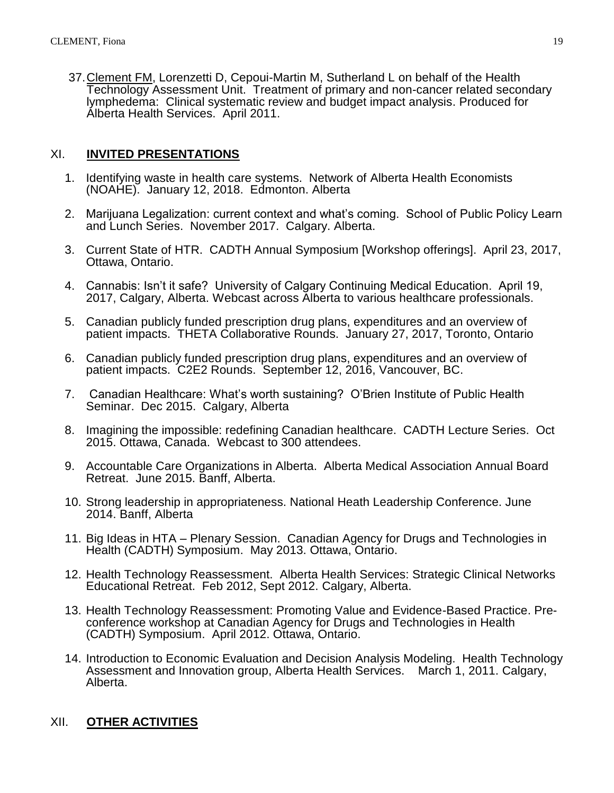37.Clement FM, Lorenzetti D, Cepoui-Martin M, Sutherland L on behalf of the Health Technology Assessment Unit. Treatment of primary and non-cancer related secondary lymphedema: Clinical systematic review and budget impact analysis. Produced for Alberta Health Services. April 2011.

## XI. **INVITED PRESENTATIONS**

- 1. Identifying waste in health care systems. Network of Alberta Health Economists (NOAHE). January 12, 2018. Edmonton. Alberta
- 2. Marijuana Legalization: current context and what's coming. School of Public Policy Learn and Lunch Series. November 2017. Calgary. Alberta.
- 3. Current State of HTR. CADTH Annual Symposium [Workshop offerings]. April 23, 2017, Ottawa, Ontario.
- 4. Cannabis: Isn't it safe? University of Calgary Continuing Medical Education. April 19, 2017, Calgary, Alberta. Webcast across Alberta to various healthcare professionals.
- 5. Canadian publicly funded prescription drug plans, expenditures and an overview of patient impacts. THETA Collaborative Rounds. January 27, 2017, Toronto, Ontario
- 6. Canadian publicly funded prescription drug plans, expenditures and an overview of patient impacts. C2E2 Rounds. September 12, 2016, Vancouver, BC.
- 7. Canadian Healthcare: What's worth sustaining? O'Brien Institute of Public Health Seminar. Dec 2015. Calgary, Alberta
- 8. Imagining the impossible: redefining Canadian healthcare. CADTH Lecture Series. Oct 2015. Ottawa, Canada. Webcast to 300 attendees.
- 9. Accountable Care Organizations in Alberta. Alberta Medical Association Annual Board Retreat. June 2015. Banff, Alberta.
- 10. Strong leadership in appropriateness. National Heath Leadership Conference. June 2014. Banff, Alberta
- 11. Big Ideas in HTA Plenary Session. Canadian Agency for Drugs and Technologies in Health (CADTH) Symposium. May 2013. Ottawa, Ontario.
- 12. Health Technology Reassessment. Alberta Health Services: Strategic Clinical Networks Educational Retreat. Feb 2012, Sept 2012. Calgary, Alberta.
- 13. Health Technology Reassessment: Promoting Value and Evidence-Based Practice. Preconference workshop at Canadian Agency for Drugs and Technologies in Health (CADTH) Symposium. April 2012. Ottawa, Ontario.
- 14. Introduction to Economic Evaluation and Decision Analysis Modeling. Health Technology Assessment and Innovation group, Alberta Health Services. March 1, 2011. Calgary, Alberta.

# XII. **OTHER ACTIVITIES**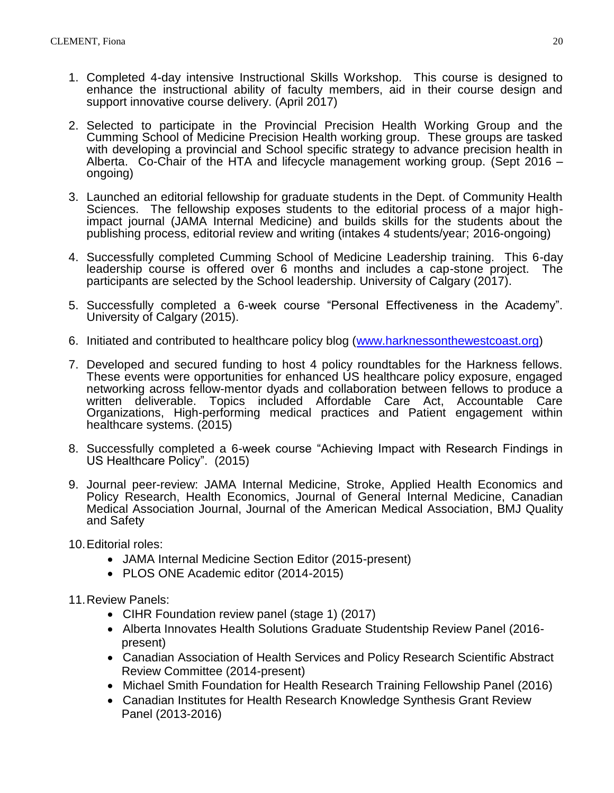- 1. Completed 4-day intensive Instructional Skills Workshop. This course is designed to enhance the instructional ability of faculty members, aid in their course design and support innovative course delivery. (April 2017)
- 2. Selected to participate in the Provincial Precision Health Working Group and the Cumming School of Medicine Precision Health working group. These groups are tasked with developing a provincial and School specific strategy to advance precision health in Alberta. Co-Chair of the HTA and lifecycle management working group. (Sept 2016 – ongoing)
- 3. Launched an editorial fellowship for graduate students in the Dept. of Community Health Sciences. The fellowship exposes students to the editorial process of a major highimpact journal (JAMA Internal Medicine) and builds skills for the students about the publishing process, editorial review and writing (intakes 4 students/year; 2016-ongoing)
- 4. Successfully completed Cumming School of Medicine Leadership training. This 6-day leadership course is offered over 6 months and includes a cap-stone project. The participants are selected by the School leadership. University of Calgary (2017).
- 5. Successfully completed a 6-week course "Personal Effectiveness in the Academy". University of Calgary (2015).
- 6. Initiated and contributed to healthcare policy blog [\(www.harknessonthewestcoast.org\)](http://www.harknessonthewestcoast.org/)
- 7. Developed and secured funding to host 4 policy roundtables for the Harkness fellows. These events were opportunities for enhanced US healthcare policy exposure, engaged networking across fellow-mentor dyads and collaboration between fellows to produce a written deliverable. Topics included Affordable Care Act, Accountable Care Organizations, High-performing medical practices and Patient engagement within healthcare systems. (2015)
- 8. Successfully completed a 6-week course "Achieving Impact with Research Findings in US Healthcare Policy". (2015)
- 9. Journal peer-review: JAMA Internal Medicine, Stroke, Applied Health Economics and Policy Research, Health Economics, Journal of General Internal Medicine, Canadian Medical Association Journal, Journal of the American Medical Association, BMJ Quality and Safety
- 10.Editorial roles:
	- JAMA Internal Medicine Section Editor (2015-present)
	- PLOS ONE Academic editor (2014-2015)
- 11.Review Panels:
	- CIHR Foundation review panel (stage 1) (2017)
	- Alberta Innovates Health Solutions Graduate Studentship Review Panel (2016 present)
	- Canadian Association of Health Services and Policy Research Scientific Abstract Review Committee (2014-present)
	- Michael Smith Foundation for Health Research Training Fellowship Panel (2016)
	- Canadian Institutes for Health Research Knowledge Synthesis Grant Review Panel (2013-2016)